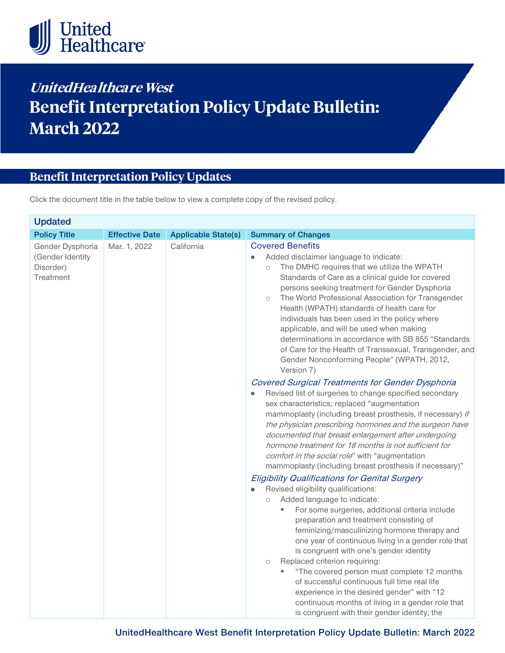

# **UnitedHealthcare West Benefit Interpretation Policy Update Bulletin: March 2022**

# **Benefit Interpretation Policy Updates**

Click the document title in the table below to view a complete copy of the revised policy.

| <b>Updated</b>                                                 |                       |                            |                                                                                                                                                                                                                                                                                                                                                                                                                                                                                                                                                                                                                                                                                                                                                                                                                                                                                                                                                                                                                                                                                                                                                                                                                                                                                                                                                                  |  |  |
|----------------------------------------------------------------|-----------------------|----------------------------|------------------------------------------------------------------------------------------------------------------------------------------------------------------------------------------------------------------------------------------------------------------------------------------------------------------------------------------------------------------------------------------------------------------------------------------------------------------------------------------------------------------------------------------------------------------------------------------------------------------------------------------------------------------------------------------------------------------------------------------------------------------------------------------------------------------------------------------------------------------------------------------------------------------------------------------------------------------------------------------------------------------------------------------------------------------------------------------------------------------------------------------------------------------------------------------------------------------------------------------------------------------------------------------------------------------------------------------------------------------|--|--|
| <b>Policy Title</b>                                            | <b>Effective Date</b> | <b>Applicable State(s)</b> | <b>Summary of Changes</b>                                                                                                                                                                                                                                                                                                                                                                                                                                                                                                                                                                                                                                                                                                                                                                                                                                                                                                                                                                                                                                                                                                                                                                                                                                                                                                                                        |  |  |
| Gender Dysphoria<br>(Gender Identity<br>Disorder)<br>Treatment | Mar. 1, 2022          | California                 | <b>Covered Benefits</b><br>Added disclaimer language to indicate:<br>The DMHC requires that we utilize the WPATH<br>$\bigcirc$<br>Standards of Care as a clinical guide for covered<br>persons seeking treatment for Gender Dysphoria<br>The World Professional Association for Transgender<br>$\circ$<br>Health (WPATH) standards of health care for<br>individuals has been used in the policy where<br>applicable, and will be used when making<br>determinations in accordance with SB 855 "Standards<br>of Care for the Health of Transsexual, Transgender, and<br>Gender Nonconforming People" (WPATH, 2012,<br>Version 7)<br><b>Covered Surgical Treatments for Gender Dysphoria</b><br>Revised list of surgeries to change specified secondary<br>sex characteristics; replaced "augmentation<br>mammoplasty (including breast prosthesis, if necessary) if<br>the physician prescribing hormones and the surgeon have<br>documented that breast enlargement after undergoing<br>hormone treatment for 18 months is not sufficient for<br>comfort in the social role" with "augmentation<br>mammoplasty (including breast prosthesis if necessary)"<br><b>Eligibility Qualifications for Genital Surgery</b><br>Revised eligibility qualifications:<br>Added language to indicate:<br>$\bigcirc$<br>For some surgeries, additional criteria include<br>ш |  |  |
|                                                                |                       |                            | preparation and treatment consisting of<br>feminizing/masculinizing hormone therapy and<br>one year of continuous living in a gender role that<br>is congruent with one's gender identity                                                                                                                                                                                                                                                                                                                                                                                                                                                                                                                                                                                                                                                                                                                                                                                                                                                                                                                                                                                                                                                                                                                                                                        |  |  |
|                                                                |                       |                            | Replaced criterion requiring:<br>$\bigcirc$                                                                                                                                                                                                                                                                                                                                                                                                                                                                                                                                                                                                                                                                                                                                                                                                                                                                                                                                                                                                                                                                                                                                                                                                                                                                                                                      |  |  |
|                                                                |                       |                            | "The covered person must complete 12 months                                                                                                                                                                                                                                                                                                                                                                                                                                                                                                                                                                                                                                                                                                                                                                                                                                                                                                                                                                                                                                                                                                                                                                                                                                                                                                                      |  |  |
|                                                                |                       |                            | of successful continuous full time real life                                                                                                                                                                                                                                                                                                                                                                                                                                                                                                                                                                                                                                                                                                                                                                                                                                                                                                                                                                                                                                                                                                                                                                                                                                                                                                                     |  |  |
|                                                                |                       |                            | experience in the desired gender" with "12<br>continuous months of living in a gender role that                                                                                                                                                                                                                                                                                                                                                                                                                                                                                                                                                                                                                                                                                                                                                                                                                                                                                                                                                                                                                                                                                                                                                                                                                                                                  |  |  |
|                                                                |                       |                            | is congruent with their gender identity; the                                                                                                                                                                                                                                                                                                                                                                                                                                                                                                                                                                                                                                                                                                                                                                                                                                                                                                                                                                                                                                                                                                                                                                                                                                                                                                                     |  |  |

**UnitedHealthcare West Benefit Interpretation Policy Update Bulletin: March 2022**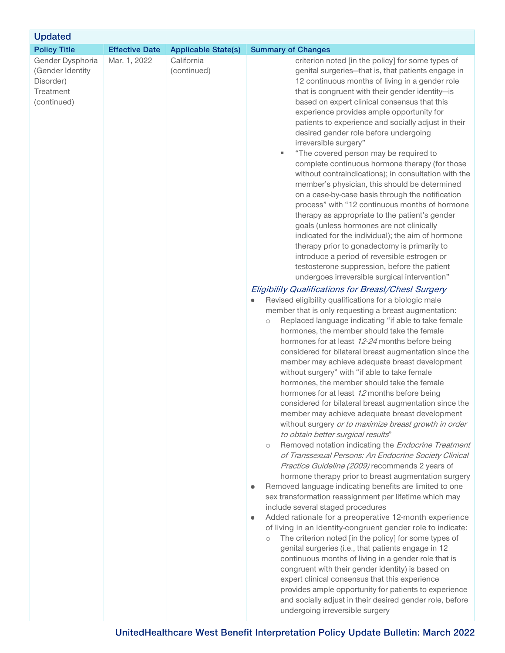| <b>Updated</b>                                                                |                       |                            |                                                                                                                                                                                                                                                                                                                                                                                                                                                                                                                                                                                                                                                                                                                                                                                                                                                                                                                                                                                                                                                                                                                                                                                                                                                                                                                                                                                                                                                                                                                                                                                                                                                                                                                                                                                                                                                                                                                                                                                                                                                                                                                                                                                                                                                                                                                                                                                                                                                                                                                                                                                                                                                                                                                                                                                                                                                                                                                                            |  |  |  |
|-------------------------------------------------------------------------------|-----------------------|----------------------------|--------------------------------------------------------------------------------------------------------------------------------------------------------------------------------------------------------------------------------------------------------------------------------------------------------------------------------------------------------------------------------------------------------------------------------------------------------------------------------------------------------------------------------------------------------------------------------------------------------------------------------------------------------------------------------------------------------------------------------------------------------------------------------------------------------------------------------------------------------------------------------------------------------------------------------------------------------------------------------------------------------------------------------------------------------------------------------------------------------------------------------------------------------------------------------------------------------------------------------------------------------------------------------------------------------------------------------------------------------------------------------------------------------------------------------------------------------------------------------------------------------------------------------------------------------------------------------------------------------------------------------------------------------------------------------------------------------------------------------------------------------------------------------------------------------------------------------------------------------------------------------------------------------------------------------------------------------------------------------------------------------------------------------------------------------------------------------------------------------------------------------------------------------------------------------------------------------------------------------------------------------------------------------------------------------------------------------------------------------------------------------------------------------------------------------------------------------------------------------------------------------------------------------------------------------------------------------------------------------------------------------------------------------------------------------------------------------------------------------------------------------------------------------------------------------------------------------------------------------------------------------------------------------------------------------------------|--|--|--|
| <b>Policy Title</b>                                                           | <b>Effective Date</b> | <b>Applicable State(s)</b> | <b>Summary of Changes</b>                                                                                                                                                                                                                                                                                                                                                                                                                                                                                                                                                                                                                                                                                                                                                                                                                                                                                                                                                                                                                                                                                                                                                                                                                                                                                                                                                                                                                                                                                                                                                                                                                                                                                                                                                                                                                                                                                                                                                                                                                                                                                                                                                                                                                                                                                                                                                                                                                                                                                                                                                                                                                                                                                                                                                                                                                                                                                                                  |  |  |  |
| Gender Dysphoria<br>(Gender Identity<br>Disorder)<br>Treatment<br>(continued) | Mar. 1, 2022          | California<br>(continued)  | criterion noted [in the policy] for some types of<br>genital surgeries-that is, that patients engage in<br>12 continuous months of living in a gender role<br>that is congruent with their gender identity-is<br>based on expert clinical consensus that this<br>experience provides ample opportunity for<br>patients to experience and socially adjust in their<br>desired gender role before undergoing<br>irreversible surgery"<br>"The covered person may be required to<br>٠<br>complete continuous hormone therapy (for those<br>without contraindications); in consultation with the<br>member's physician, this should be determined<br>on a case-by-case basis through the notification<br>process" with "12 continuous months of hormone<br>therapy as appropriate to the patient's gender<br>goals (unless hormones are not clinically<br>indicated for the individual); the aim of hormone<br>therapy prior to gonadectomy is primarily to<br>introduce a period of reversible estrogen or<br>testosterone suppression, before the patient<br>undergoes irreversible surgical intervention"<br>Eligibility Qualifications for Breast/Chest Surgery<br>Revised eligibility qualifications for a biologic male<br>۰<br>member that is only requesting a breast augmentation:<br>Replaced language indicating "if able to take female<br>$\bigcirc$<br>hormones, the member should take the female<br>hormones for at least 12-24 months before being<br>considered for bilateral breast augmentation since the<br>member may achieve adequate breast development<br>without surgery" with "if able to take female<br>hormones, the member should take the female<br>hormones for at least 12 months before being<br>considered for bilateral breast augmentation since the<br>member may achieve adequate breast development<br>without surgery or to maximize breast growth in order<br>to obtain better surgical results"<br>Removed notation indicating the Endocrine Treatment<br>$\circlearrowright$<br>of Transsexual Persons: An Endocrine Society Clinical<br>Practice Guideline (2009) recommends 2 years of<br>hormone therapy prior to breast augmentation surgery<br>Removed language indicating benefits are limited to one<br>۰<br>sex transformation reassignment per lifetime which may<br>include several staged procedures<br>Added rationale for a preoperative 12-month experience<br>۰<br>of living in an identity-congruent gender role to indicate:<br>The criterion noted [in the policy] for some types of<br>$\bigcirc$<br>genital surgeries (i.e., that patients engage in 12<br>continuous months of living in a gender role that is<br>congruent with their gender identity) is based on<br>expert clinical consensus that this experience<br>provides ample opportunity for patients to experience<br>and socially adjust in their desired gender role, before<br>undergoing irreversible surgery |  |  |  |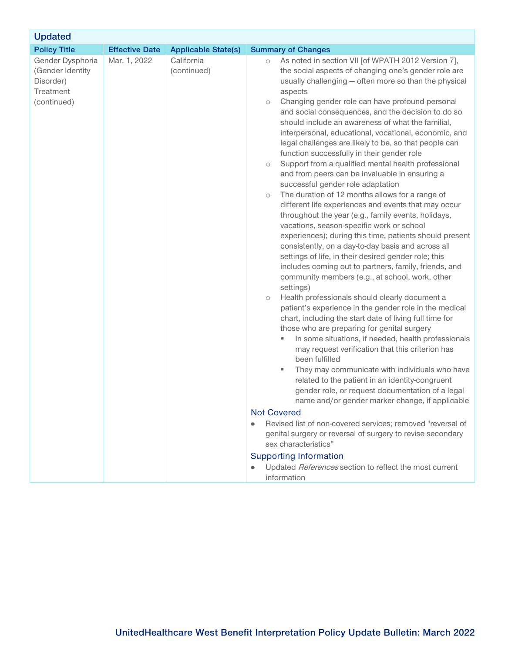| <b>Updated</b>                                                                |                       |                            |                                                                                                                                                                                                                                                                                                                                                                                                                                                                                                                                                                                                                                                                                                                                                                                                                                                                                                                                                                                                                                                                                                                                                                                                                                                                                                                                                                                                                                                                                                                                                                                                                                                                                                                                                                                                                                                                                                                                                                                                                                                                                                                                  |  |  |  |
|-------------------------------------------------------------------------------|-----------------------|----------------------------|----------------------------------------------------------------------------------------------------------------------------------------------------------------------------------------------------------------------------------------------------------------------------------------------------------------------------------------------------------------------------------------------------------------------------------------------------------------------------------------------------------------------------------------------------------------------------------------------------------------------------------------------------------------------------------------------------------------------------------------------------------------------------------------------------------------------------------------------------------------------------------------------------------------------------------------------------------------------------------------------------------------------------------------------------------------------------------------------------------------------------------------------------------------------------------------------------------------------------------------------------------------------------------------------------------------------------------------------------------------------------------------------------------------------------------------------------------------------------------------------------------------------------------------------------------------------------------------------------------------------------------------------------------------------------------------------------------------------------------------------------------------------------------------------------------------------------------------------------------------------------------------------------------------------------------------------------------------------------------------------------------------------------------------------------------------------------------------------------------------------------------|--|--|--|
| <b>Policy Title</b>                                                           | <b>Effective Date</b> | <b>Applicable State(s)</b> | <b>Summary of Changes</b>                                                                                                                                                                                                                                                                                                                                                                                                                                                                                                                                                                                                                                                                                                                                                                                                                                                                                                                                                                                                                                                                                                                                                                                                                                                                                                                                                                                                                                                                                                                                                                                                                                                                                                                                                                                                                                                                                                                                                                                                                                                                                                        |  |  |  |
| Gender Dysphoria<br>(Gender Identity<br>Disorder)<br>Treatment<br>(continued) | Mar. 1, 2022          | California<br>(continued)  | As noted in section VII [of WPATH 2012 Version 7],<br>$\bigcirc$<br>the social aspects of changing one's gender role are<br>usually challenging - often more so than the physical<br>aspects<br>Changing gender role can have profound personal<br>$\circlearrowright$<br>and social consequences, and the decision to do so<br>should include an awareness of what the familial,<br>interpersonal, educational, vocational, economic, and<br>legal challenges are likely to be, so that people can<br>function successfully in their gender role<br>Support from a qualified mental health professional<br>$\circlearrowright$<br>and from peers can be invaluable in ensuring a<br>successful gender role adaptation<br>The duration of 12 months allows for a range of<br>$\bigcirc$<br>different life experiences and events that may occur<br>throughout the year (e.g., family events, holidays,<br>vacations, season-specific work or school<br>experiences); during this time, patients should present<br>consistently, on a day-to-day basis and across all<br>settings of life, in their desired gender role; this<br>includes coming out to partners, family, friends, and<br>community members (e.g., at school, work, other<br>settings)<br>Health professionals should clearly document a<br>$\bigcirc$<br>patient's experience in the gender role in the medical<br>chart, including the start date of living full time for<br>those who are preparing for genital surgery<br>In some situations, if needed, health professionals<br>٠<br>may request verification that this criterion has<br>been fulfilled<br>They may communicate with individuals who have<br>Е<br>related to the patient in an identity-congruent<br>gender role, or request documentation of a legal<br>name and/or gender marker change, if applicable<br><b>Not Covered</b><br>Revised list of non-covered services; removed "reversal of<br>genital surgery or reversal of surgery to revise secondary<br>sex characteristics"<br><b>Supporting Information</b><br>Updated References section to reflect the most current<br>information |  |  |  |